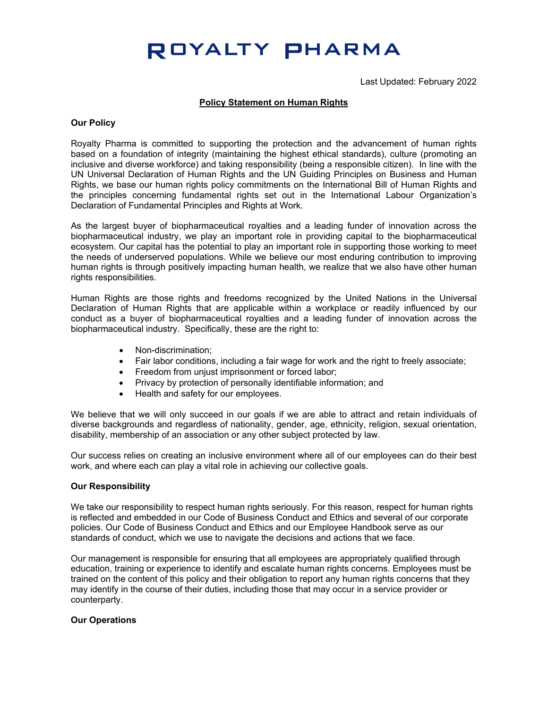# ROYALTY PHARMA

Last Updated: February 2022

### **Policy Statement on Human Rights**

#### **Our Policy**

Royalty Pharma is committed to supporting the protection and the advancement of human rights based on a foundation of integrity (maintaining the highest ethical standards), culture (promoting an inclusive and diverse workforce) and taking responsibility (being a responsible citizen). In line with the UN Universal Declaration of Human Rights and the UN Guiding Principles on Business and Human Rights, we base our human rights policy commitments on the International Bill of Human Rights and the principles concerning fundamental rights set out in the International Labour Organization's Declaration of Fundamental Principles and Rights at Work.

As the largest buyer of biopharmaceutical royalties and a leading funder of innovation across the biopharmaceutical industry, we play an important role in providing capital to the biopharmaceutical ecosystem. Our capital has the potential to play an important role in supporting those working to meet the needs of underserved populations. While we believe our most enduring contribution to improving human rights is through positively impacting human health, we realize that we also have other human rights responsibilities.

Human Rights are those rights and freedoms recognized by the United Nations in the Universal Declaration of Human Rights that are applicable within a workplace or readily influenced by our conduct as a buyer of biopharmaceutical royalties and a leading funder of innovation across the biopharmaceutical industry. Specifically, these are the right to:

- Non-discrimination;
- Fair labor conditions, including a fair wage for work and the right to freely associate;
- Freedom from unjust imprisonment or forced labor;
- Privacy by protection of personally identifiable information; and
- Health and safety for our employees.

We believe that we will only succeed in our goals if we are able to attract and retain individuals of diverse backgrounds and regardless of nationality, gender, age, ethnicity, religion, sexual orientation, disability, membership of an association or any other subject protected by law.

Our success relies on creating an inclusive environment where all of our employees can do their best work, and where each can play a vital role in achieving our collective goals.

#### **Our Responsibility**

We take our responsibility to respect human rights seriously. For this reason, respect for human rights is reflected and embedded in our Code of Business Conduct and Ethics and several of our corporate policies. Our Code of Business Conduct and Ethics and our Employee Handbook serve as our standards of conduct, which we use to navigate the decisions and actions that we face.

Our management is responsible for ensuring that all employees are appropriately qualified through education, training or experience to identify and escalate human rights concerns. Employees must be trained on the content of this policy and their obligation to report any human rights concerns that they may identify in the course of their duties, including those that may occur in a service provider or counterparty.

#### **Our Operations**